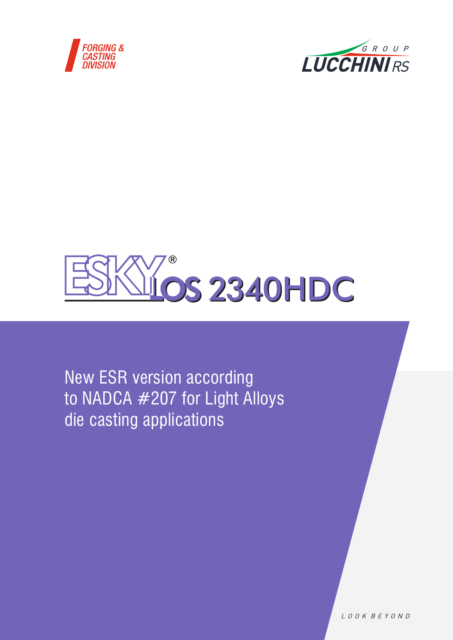





New ESR version according to NADCA #207 for Light Alloys die casting applications

LOOK BEYOND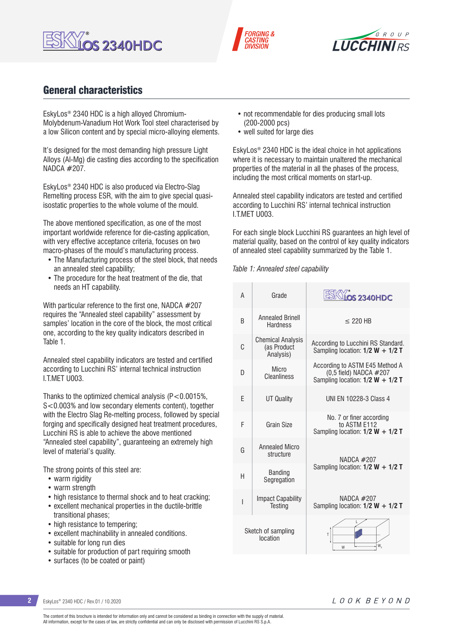





## General characteristics

EskyLos® 2340 HDC is a high alloyed Chromium-Molybdenum-Vanadium Hot Work Tool steel characterised by a low Silicon content and by special micro-alloying elements.

It's designed for the most demanding high pressure Light Alloys (Al-Mg) die casting dies according to the specification NADCA #207.

EskyLos® 2340 HDC is also produced via Electro-Slag Remelting process ESR, with the aim to give special quasiisostatic properties to the whole volume of the mould.

The above mentioned specification, as one of the most important worldwide reference for die-casting application, with very effective acceptance criteria, focuses on two macro-phases of the mould's manufacturing process.

- The Manufacturing process of the steel block, that needs an annealed steel capability;
- The procedure for the heat treatment of the die, that needs an HT capability.

With particular reference to the first one, NADCA #207 requires the "Annealed steel capability" assessment by samples' location in the core of the block, the most critical one, according to the key quality indicators described in Table 1.

Annealed steel capability indicators are tested and certified according to Lucchini RS' internal technical instruction I.T.MET U003.

Thanks to the optimized chemical analysis  $(P<0.0015\%$ . S<0.003% and low secondary elements content), together with the Electro Slag Re-melting process, followed by special forging and specifically designed heat treatment procedures, Lucchini RS is able to achieve the above mentioned "Annealed steel capability", guaranteeing an extremely high level of material's quality.

The strong points of this steel are:

- warm rigidity
- warm strength
- high resistance to thermal shock and to heat cracking:
- excellent mechanical properties in the ductile-brittle transitional phases;
- high resistance to tempering;
- excellent machinability in annealed conditions.
- suitable for long run dies
- suitable for production of part requiring smooth
- surfaces (to be coated or paint)
- not recommendable for dies producing small lots (200-2000 pcs)
- well suited for large dies

EskyLos® 2340 HDC is the ideal choice in hot applications where it is necessary to maintain unaltered the mechanical properties of the material in all the phases of the process, including the most critical moments on start-up.

Annealed steel capability indicators are tested and certified according to Lucchini RS' internal technical instruction I.T.MET U003.

For each single block Lucchini RS guarantees an high level of material quality, based on the control of key quality indicators of annealed steel capability summarized by the Table 1.

### *Table 1: Annealed steel capability*

| A                              | Grade                                                | <b>LOS 2340HDC</b>                                                                               |  |
|--------------------------------|------------------------------------------------------|--------------------------------------------------------------------------------------------------|--|
| R                              | <b>Annealed Brinell</b><br><b>Hardness</b>           | $<$ 220 HB                                                                                       |  |
| C                              | <b>Chemical Analysis</b><br>(as Product<br>Analysis) | According to Lucchini RS Standard.<br>Sampling location: $1/2$ W + $1/2$ T                       |  |
| D                              | Micro<br>Cleanliness                                 | According to ASTM E45 Method A<br>(0,5 field) NADCA #207<br>Sampling location: $1/2$ W + $1/2$ T |  |
| F                              | <b>UT Quality</b>                                    | UNI FN 10228-3 Class 4                                                                           |  |
| F                              | Grain Size                                           | No. 7 or finer according<br>to ASTM F112<br>Sampling location: $1/2$ W + $1/2$ T                 |  |
| G                              | <b>Annealed Micro</b><br>structure                   | NADCA #207                                                                                       |  |
| H                              | <b>Banding</b><br>Segregation                        | Sampling location: $1/2$ W + $1/2$ T                                                             |  |
| I                              | <b>Impact Capability</b><br><b>Testing</b>           | NADCA $#207$<br>Sampling location: $1/2$ W + $1/2$ T                                             |  |
| Sketch of sampling<br>location |                                                      | Т<br>W,<br>W                                                                                     |  |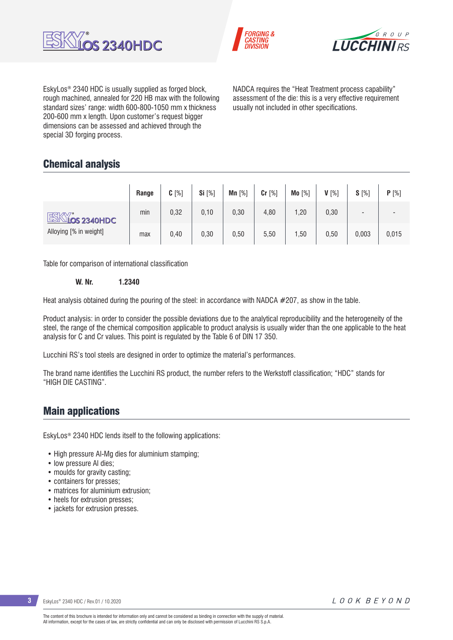





EskyLos® 2340 HDC is usually supplied as forged block, rough machined, annealed for 220 HB max with the following standard sizes' range: width 600-800-1050 mm x thickness 200-600 mm x length. Upon customer's request bigger dimensions can be assessed and achieved through the special 3D forging process.

NADCA requires the "Heat Treatment process capability" assessment of the die: this is a very effective requirement usually not included in other specifications.

## Chemical analysis

|                        | Range | $C[\%]$ | Si [%] | Mn $[%]$ | $Cr$ [%] | Mo [%] | $V[\%]$ | $S[\%]$                  | P[%]  |
|------------------------|-------|---------|--------|----------|----------|--------|---------|--------------------------|-------|
| <b>ESKY's</b> 2340HDC  | min   | 0,32    | 0,10   | 0,30     | 4,80     | 1,20   | 0,30    | $\overline{\phantom{a}}$ |       |
| Alloying [% in weight] | max   | 0,40    | 0,30   | 0,50     | 5,50     | 1,50   | 0,50    | 0,003                    | 0,015 |

Table for comparison of international classification

**W. Nr. 1.2340**

Heat analysis obtained during the pouring of the steel: in accordance with NADCA #207, as show in the table.

Product analysis: in order to consider the possible deviations due to the analytical reproducibility and the heterogeneity of the steel, the range of the chemical composition applicable to product analysis is usually wider than the one applicable to the heat analysis for C and Cr values. This point is regulated by the Table 6 of DIN 17 350.

Lucchini RS's tool steels are designed in order to optimize the material's performances.

The brand name identifies the Lucchini RS product, the number refers to the Werkstoff classification; "HDC" stands for "HIGH DIE CASTING".

## Main applications

EskyLos® 2340 HDC lends itself to the following applications:

- High pressure AI-Mg dies for aluminium stamping:
- low pressure Al dies;
- moulds for gravity casting;
- containers for presses;
- matrices for aluminium extrusion:
- heels for extrusion presses;
- jackets for extrusion presses.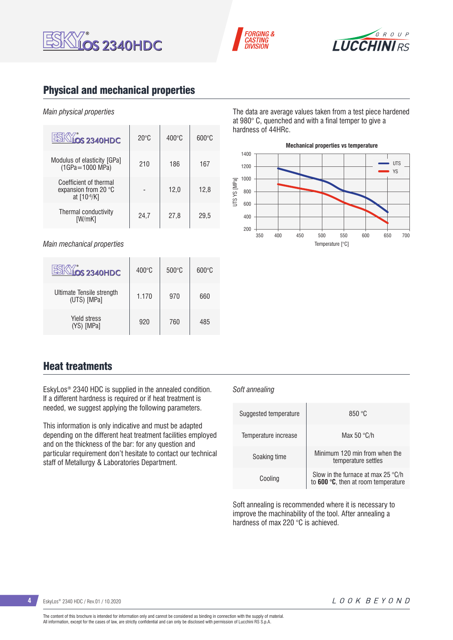





## Physical and mechanical properties

### *Main physical properties*

| <b>LOS 2340HDC</b>                                                     | $20^{\circ}$ C | $400^{\circ}$ C | $600\degree$ C |
|------------------------------------------------------------------------|----------------|-----------------|----------------|
| Modulus of elasticity [GPa]<br>(1GPa=1000 MPa)                         | 210            | 186             | 167            |
| Coefficient of thermal<br>expansion from 20 $\degree$ C<br>at [10-6/K] |                | 12.0            | 12.8           |
| Thermal conductivity<br>IW/mK1                                         | 24.7           | 27,8            | 29,5           |

*Main mechanical properties*

| <b>OS 2340HDC</b>                        | $400^{\circ}$ C | $500^{\circ}$ C | $600\degree$ C |
|------------------------------------------|-----------------|-----------------|----------------|
| Ultimate Tensile strength<br>(UTS) [MPa] | 1.170           | 970             | 660            |
| <b>Yield stress</b><br>(YS) [MPa]        | 920             | 760             | 485            |

The data are average values taken from a test piece hardened at 980° C, quenched and with a final temper to give a hardness of 44HRc.



## Heat treatments

EskyLos® 2340 HDC is supplied in the annealed condition. If a different hardness is required or if heat treatment is needed, we suggest applying the following parameters.

This information is only indicative and must be adapted depending on the different heat treatment facilities employed and on the thickness of the bar: for any question and particular requirement don't hesitate to contact our technical staff of Metallurgy & Laboratories Department.

### *Soft annealing*

| Suggested temperature | 850 °C                                                                                |
|-----------------------|---------------------------------------------------------------------------------------|
| Temperature increase  | Max 50 $\degree$ C/h                                                                  |
| Soaking time          | Minimum 120 min from when the<br>temperature settles                                  |
| Cooling               | Slow in the furnace at max 25 $\degree$ C/h<br>to $600 °C$ , then at room temperature |

Soft annealing is recommended where it is necessary to improve the machinability of the tool. After annealing a hardness of max 220 °C is achieved.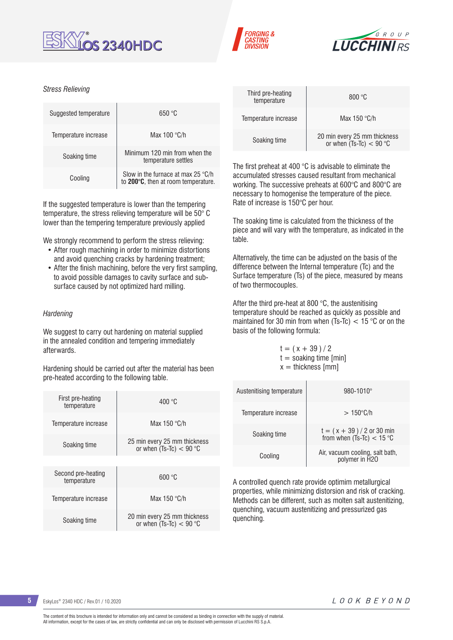





### *Stress Relieving*

| Suggested temperature | 650 °C                                                                             |
|-----------------------|------------------------------------------------------------------------------------|
| Temperature increase  | Max $100 °C/h$                                                                     |
| Soaking time          | Minimum 120 min from when the<br>temperature settles                               |
| Cooling               | Slow in the furnace at max 25 $\degree$ C/h<br>to 200°C, then at room temperature. |

If the suggested temperature is lower than the tempering temperature, the stress relieving temperature will be 50° C lower than the tempering temperature previously applied

We strongly recommend to perform the stress relieving:

- After rough machining in order to minimize distortions and avoid quenching cracks by hardening treatment;
- After the finish machining, before the very first sampling, to avoid possible damages to cavity surface and subsurface caused by not optimized hard milling.

### *Hardening*

We suggest to carry out hardening on material supplied in the annealed condition and tempering immediately afterwards.

Hardening should be carried out after the material has been pre-heated according to the following table.

| First pre-heating<br>temperature  | 400 °C                                                    |
|-----------------------------------|-----------------------------------------------------------|
| Temperature increase              | Max 150 $\degree$ C/h                                     |
| Soaking time                      | 25 min every 25 mm thickness<br>or when $(Ts-TC) < 90$ °C |
|                                   |                                                           |
| Second pre-heating<br>temperature | 600 °C                                                    |
| Temperature increase              | Max 150 $\degree$ C/h                                     |
| Soaking time                      | 20 min every 25 mm thickness<br>or when $(Ts-TC) < 90$ °C |

| Third pre-heating<br>temperature | 800 °C                                                    |
|----------------------------------|-----------------------------------------------------------|
| Temperature increase             | Max $150 °C/h$                                            |
| Soaking time                     | 20 min every 25 mm thickness<br>or when $(Ts-TC) < 90 °C$ |

The first preheat at 400 °C is advisable to eliminate the accumulated stresses caused resultant from mechanical working. The successive preheats at 600°C and 800°C are necessary to homogenise the temperature of the piece. Rate of increase is 150°C per hour.

The soaking time is calculated from the thickness of the piece and will vary with the temperature, as indicated in the table.

Alternatively, the time can be adjusted on the basis of the difference between the Internal temperature (Tc) and the Surface temperature (Ts) of the piece, measured by means of two thermocouples.

After the third pre-heat at 800 °C, the austenitising temperature should be reached as quickly as possible and maintained for 30 min from when (Ts-Tc) < 15 °C or on the basis of the following formula:

 $t = (x + 39)/2$  $t =$  soaking time [min]  $x =$  thickness [mm]

| Austenitising temperature | 980-1010°                                                 |
|---------------------------|-----------------------------------------------------------|
| Temperature increase      | $>150^{\circ}$ C/h                                        |
| Soaking time              | $t = (x + 39) / 2$ or 30 min<br>from when (Ts-Tc) < 15 °C |
| Cooling                   | Air, vacuum cooling, salt bath,<br>polymer in H2O         |

A controlled quench rate provide optimim metallurgical properties, while minimizing distorsion and risk of cracking. Methods can be different, such as molten salt austenitizing, quenching, vacuum austenitizing and pressurized gas quenching.

**5** EskyLos® 2340 HDC / Rev.01 / 10.2020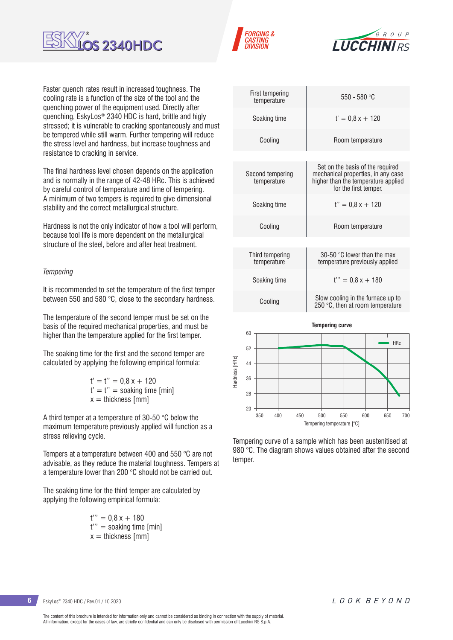





Faster quench rates result in increased toughness. The cooling rate is a function of the size of the tool and the quenching power of the equipment used. Directly after quenching, EskyLos® 2340 HDC is hard, brittle and higly stressed; it is vulnerable to cracking spontaneously and must be tempered while still warm. Further tempering will reduce the stress level and hardness, but increase toughness and resistance to cracking in service.

The final hardness level chosen depends on the application and is normally in the range of 42-48 HRc. This is achieved by careful control of temperature and time of tempering. A minimum of two tempers is required to give dimensional stability and the correct metallurgical structure.

Hardness is not the only indicator of how a tool will perform, because tool life is more dependent on the metallurgical structure of the steel, before and after heat treatment.

### *Tempering*

It is recommended to set the temperature of the first temper between 550 and 580 °C, close to the secondary hardness.

The temperature of the second temper must be set on the basis of the required mechanical properties, and must be higher than the temperature applied for the first temper.

The soaking time for the first and the second temper are calculated by applying the following empirical formula:

> $t' = t'' = 0.8 x + 120$  $t' = t'' =$  soaking time [min]  $x =$  thickness  $\text{[mm]}$

A third temper at a temperature of 30-50 °C below the maximum temperature previously applied will function as a stress relieving cycle.

Tempers at a temperature between 400 and 550 °C are not advisable, as they reduce the material toughness. Tempers at a temperature lower than 200 °C should not be carried out.

The soaking time for the third temper are calculated by applying the following empirical formula:

> $t''' = 0.8 x + 180$ t''' = soaking time [min]  $x =$  thickness  $\lceil mm \rceil$

| First tempering<br>temperature  | 550 - 580 °C                                                                                                                           |  |  |  |  |
|---------------------------------|----------------------------------------------------------------------------------------------------------------------------------------|--|--|--|--|
| Soaking time                    | $t' = 0.8x + 120$                                                                                                                      |  |  |  |  |
| Cooling                         | Room temperature                                                                                                                       |  |  |  |  |
|                                 |                                                                                                                                        |  |  |  |  |
| Second tempering<br>temperature | Set on the basis of the required<br>mechanical properties, in any case<br>higher than the temperature applied<br>for the first temper. |  |  |  |  |
| Soaking time                    | $t'' = 0.8x + 120$                                                                                                                     |  |  |  |  |
| Cooling                         | Room temperature                                                                                                                       |  |  |  |  |
|                                 |                                                                                                                                        |  |  |  |  |
| Third tempering<br>temperature  | 30-50 $\degree$ C lower than the max<br>temperature previously applied                                                                 |  |  |  |  |
| Soaking time                    | $t''' = 0.8x + 180$                                                                                                                    |  |  |  |  |
| Cooling                         | Slow cooling in the furnace up to<br>250 $\degree$ C, then at room temperature                                                         |  |  |  |  |
|                                 | <b>Tempering curve</b>                                                                                                                 |  |  |  |  |
| 60                              | <b>HRc</b>                                                                                                                             |  |  |  |  |
| 52                              |                                                                                                                                        |  |  |  |  |
| 44                              |                                                                                                                                        |  |  |  |  |



Tempering curve of a sample which has been austenitised at 980 °C. The diagram shows values obtained after the second temper.

**6** EskyLos® 2340 HDC / Rev.01 / 10.2020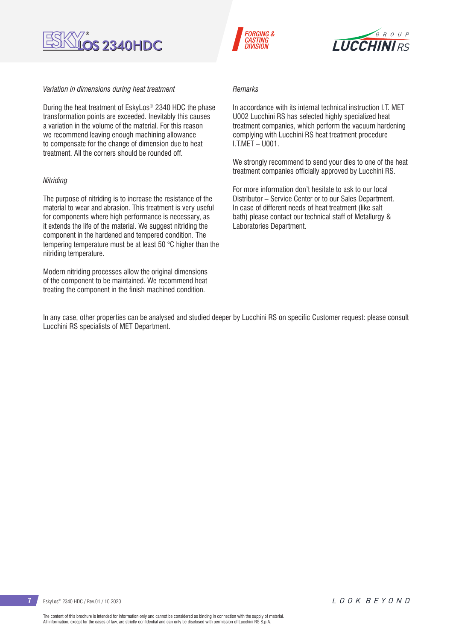

### *Variation in dimensions during heat treatment*

During the heat treatment of EskyLos® 2340 HDC the phase transformation points are exceeded. Inevitably this causes a variation in the volume of the material. For this reason we recommend leaving enough machining allowance to compensate for the change of dimension due to heat treatment. All the corners should be rounded off.

### *Nitriding*

The purpose of nitriding is to increase the resistance of the material to wear and abrasion. This treatment is very useful for components where high performance is necessary, as it extends the life of the material. We suggest nitriding the component in the hardened and tempered condition. The tempering temperature must be at least 50 °C higher than the nitriding temperature.

Modern nitriding processes allow the original dimensions of the component to be maintained. We recommend heat treating the component in the finish machined condition.





### *Remarks*

In accordance with its internal technical instruction LT. MET U002 Lucchini RS has selected highly specialized heat treatment companies, which perform the vacuum hardening complying with Lucchini RS heat treatment procedure I.T.MET – U001.

We strongly recommend to send your dies to one of the heat treatment companies officially approved by Lucchini RS.

For more information don't hesitate to ask to our local Distributor – Service Center or to our Sales Department. In case of different needs of heat treatment (like salt bath) please contact our technical staff of Metallurgy & Laboratories Department.

In any case, other properties can be analysed and studied deeper by Lucchini RS on specific Customer request: please consult Lucchini RS specialists of MET Department.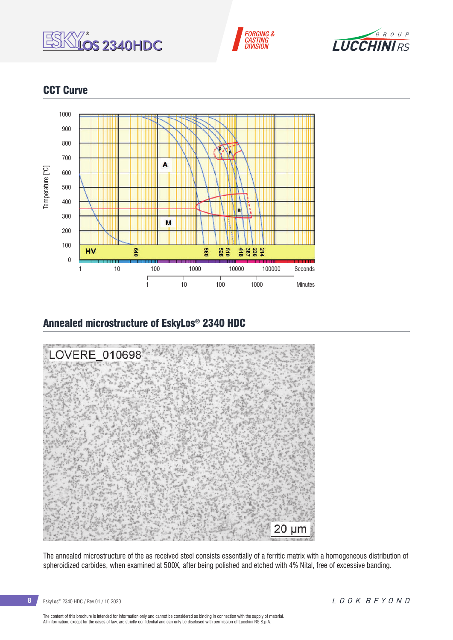





# CCT Curve



# Annealed microstructure of EskyLos® 2340 HDC



The annealed microstructure of the as received steel consists essentially of a ferritic matrix with a homogeneous distribution of spheroidized carbides, when examined at 500X, after being polished and etched with 4% Nital, free of excessive banding.

The content of this brochure is intended for information only and cannot be considered as binding in connection with the supply of material.<br>All information, except for the cases of law, are strictly confidential and can o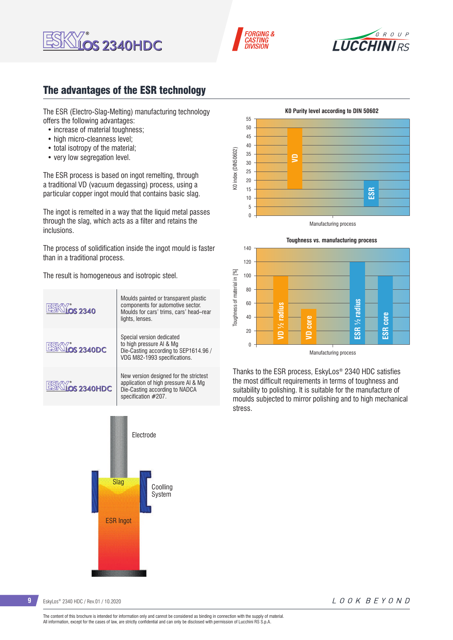![](_page_8_Picture_0.jpeg)

![](_page_8_Picture_1.jpeg)

![](_page_8_Picture_2.jpeg)

# The advantages of the ESR technology

The ESR (Electro-Slag-Melting) manufacturing technology offers the following advantages:

- increase of material toughness:
- high micro-cleanness level:
- total isotropy of the material;
- very low segregation level.

The ESR process is based on ingot remelting, through a traditional VD (vacuum degassing) process, using a particular copper ingot mould that contains basic slag.

The ingot is remelted in a way that the liquid metal passes through the slag, which acts as a filter and retains the inclusions.

The process of solidification inside the ingot mould is faster than in a traditional process.

The result is homogeneous and isotropic steel.

![](_page_8_Figure_13.jpeg)

![](_page_8_Figure_14.jpeg)

![](_page_8_Figure_15.jpeg)

![](_page_8_Figure_16.jpeg)

Thanks to the ESR process, EskyLos® 2340 HDC satisfies the most difficult requirements in terms of toughness and suitability to polishing. It is suitable for the manufacture of moulds subjected to mirror polishing and to high mechanical stress.

**9** EskyLos® 2340 HDC / Rev.01 / 10.2020

LOOK BEYOND

The content of this brochure is intended for information only and cannot be considered as binding in connection with the supply of material. All information, except for the cases of law, are strictly confidential and can only be disclosed with permission of Lucchini RS S.p.A.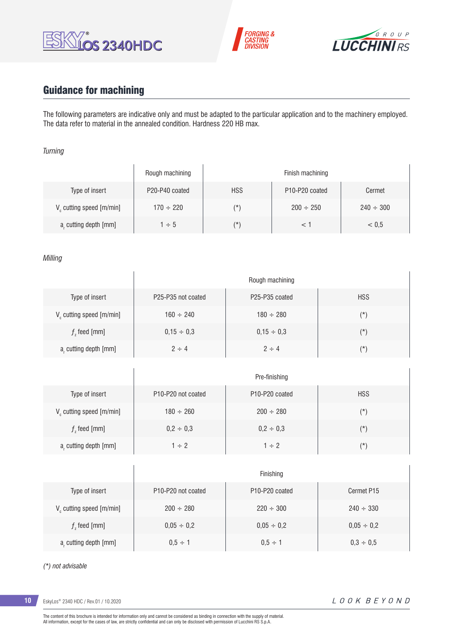![](_page_9_Picture_0.jpeg)

![](_page_9_Picture_1.jpeg)

![](_page_9_Picture_2.jpeg)

# Guidance for machining

 $\overline{1}$ 

 $\overline{1}$ 

The following parameters are indicative only and must be adapted to the particular application and to the machinery employed. The data refer to material in the annealed condition. Hardness 220 HB max.

### *Turning*

|                                      | Rough machining |            | Finish machining                        |                |
|--------------------------------------|-----------------|------------|-----------------------------------------|----------------|
| Type of insert                       | P20-P40 coated  | <b>HSS</b> | P <sub>10</sub> -P <sub>20</sub> coated | Cermet         |
| V <sub>c</sub> cutting speed [m/min] | $170 \div 220$  | $(\star)$  | $200 \div 250$                          | $240 \div 300$ |
| a, cutting depth [mm]                | $1 \div 5$      | $(\star)$  |                                         | < 0.5          |

### *Milling*

|                                      | Rough machining                             |                                         |            |  |  |
|--------------------------------------|---------------------------------------------|-----------------------------------------|------------|--|--|
| Type of insert                       | P <sub>25</sub> -P <sub>35</sub> not coated | P <sub>25</sub> -P <sub>35</sub> coated | <b>HSS</b> |  |  |
| V <sub>c</sub> cutting speed [m/min] | $160 \div 240$                              | $180 \div 280$                          | $(\star)$  |  |  |
| $f$ , feed [mm]                      | $0,15 \div 0,3$                             | $0.15 \div 0.3$                         | $(\star)$  |  |  |
| a, cutting depth [mm]                | $2 \div 4$                                  | $2 \div 4$                              | $(\star)$  |  |  |

|                         | Pre-finishing                               |                                         |               |  |  |  |
|-------------------------|---------------------------------------------|-----------------------------------------|---------------|--|--|--|
| Type of insert          | P <sub>10</sub> -P <sub>20</sub> not coated | P <sub>10</sub> -P <sub>20</sub> coated | <b>HSS</b>    |  |  |  |
| V cutting speed [m/min] | $180 \div 260$                              | $200 \div 280$                          | $(\texttt{'}$ |  |  |  |
| $f$ , feed [mm]         | $0,2 \div 0,3$                              | $0,2 \div 0,3$                          | $(\star)$     |  |  |  |
| a, cutting depth [mm]   | $1 \div 2$                                  | $1 \div 2$                              | $(\star)$     |  |  |  |

|                                      | Finishing                                   |                                         |                 |  |  |  |
|--------------------------------------|---------------------------------------------|-----------------------------------------|-----------------|--|--|--|
| Type of insert                       | P <sub>10</sub> -P <sub>20</sub> not coated | P <sub>10</sub> -P <sub>20</sub> coated | Cermet P15      |  |  |  |
| V <sub>c</sub> cutting speed [m/min] | $200 \div 280$                              | $220 \div 300$                          | $240 \div 330$  |  |  |  |
| $f$ , feed [mm]                      | $0,05 \div 0,2$                             | $0,05 \div 0,2$                         | $0,05 \div 0,2$ |  |  |  |
| a, cutting depth [mm]                | $0.5 \div 1$                                | $0.5 \div 1$                            | $0.3 \div 0.5$  |  |  |  |

### *(\*) not advisable*

**10** EskyLos® 2340 HDC / Rev.01 / 10.2020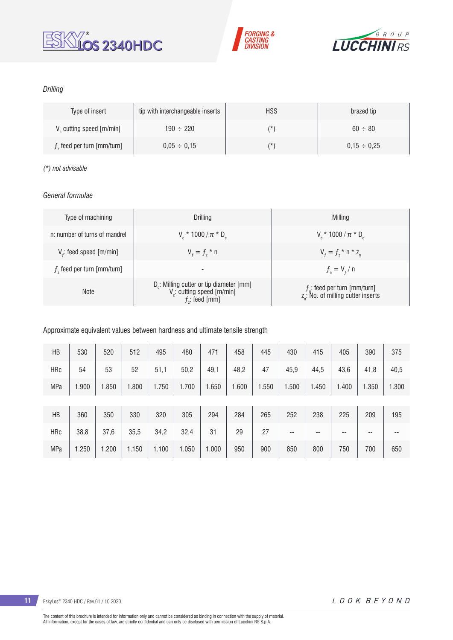![](_page_10_Picture_0.jpeg)

![](_page_10_Picture_1.jpeg)

![](_page_10_Picture_2.jpeg)

## *Drilling*

| Type of insert                       | tip with interchangeable inserts | <b>HSS</b> | brazed tip       |
|--------------------------------------|----------------------------------|------------|------------------|
| V <sub>c</sub> cutting speed [m/min] | $190 \div 220$                   | (*         | $60 \div 80$     |
| $fz$ feed per turn [mm/turn]         | $0.05 \div 0.15$                 | (*         | $0.15 \div 0.25$ |

### *(\*) not advisable*

## *General formulae*

| Type of machining             | Drilling                                                                                                          | Milling                                                                           |
|-------------------------------|-------------------------------------------------------------------------------------------------------------------|-----------------------------------------------------------------------------------|
| n: number of turns of mandrel | $V_c * 1000 / \pi * D_c$                                                                                          | $V_r * 1000 / \pi * D_c$                                                          |
| $Vf$ : feed speed [m/min]     | $V_{f} = f_{7}$ * n                                                                                               | $V_{f} = f_{i} * n * z_{n}$                                                       |
| $fz$ feed per turn [mm/turn]  | -                                                                                                                 | $f_{n} = V_{f} / n$                                                               |
| <b>Note</b>                   | D <sub>r</sub> : Milling cutter or tip diameter [mm]<br>V <sub>c</sub> : cutting speed [m/min]<br>$f$ : feed [mm] | $f_n$ : feed per turn [mm/turn]<br>z <sub>a</sub> : No. of milling cutter inserts |

## Approximate equivalent values between hardness and ultimate tensile strength

| HB         | 530   | 520   | 512   | 495   | 480   | 471   | 458   | 445   | 430   | 415   | 405   | 390   | 375   |
|------------|-------|-------|-------|-------|-------|-------|-------|-------|-------|-------|-------|-------|-------|
| <b>HRc</b> | 54    | 53    | 52    | 51,1  | 50,2  | 49,1  | 48,2  | 47    | 45,9  | 44,5  | 43,6  | 41,8  | 40,5  |
| MPa        | 1.900 | 1.850 | 1.800 | 1.750 | 1.700 | 1.650 | 1.600 | 1.550 | 1.500 | 1.450 | 1.400 | 1.350 | 1.300 |
|            |       |       |       |       |       |       |       |       |       |       |       |       |       |
| HB         | 360   | 350   | 330   | 320   | 305   | 294   | 284   | 265   | 252   | 238   | 225   | 209   | 195   |
| <b>HRc</b> | 38,8  | 37,6  | 35,5  | 34,2  | 32,4  | 31    | 29    | 27    | $- -$ | --    | $- -$ | --    | $- -$ |
| <b>MPa</b> | 1.250 | 1.200 | 1.150 | 1.100 | 1.050 | 1.000 | 950   | 900   | 850   | 800   | 750   | 700   | 650   |